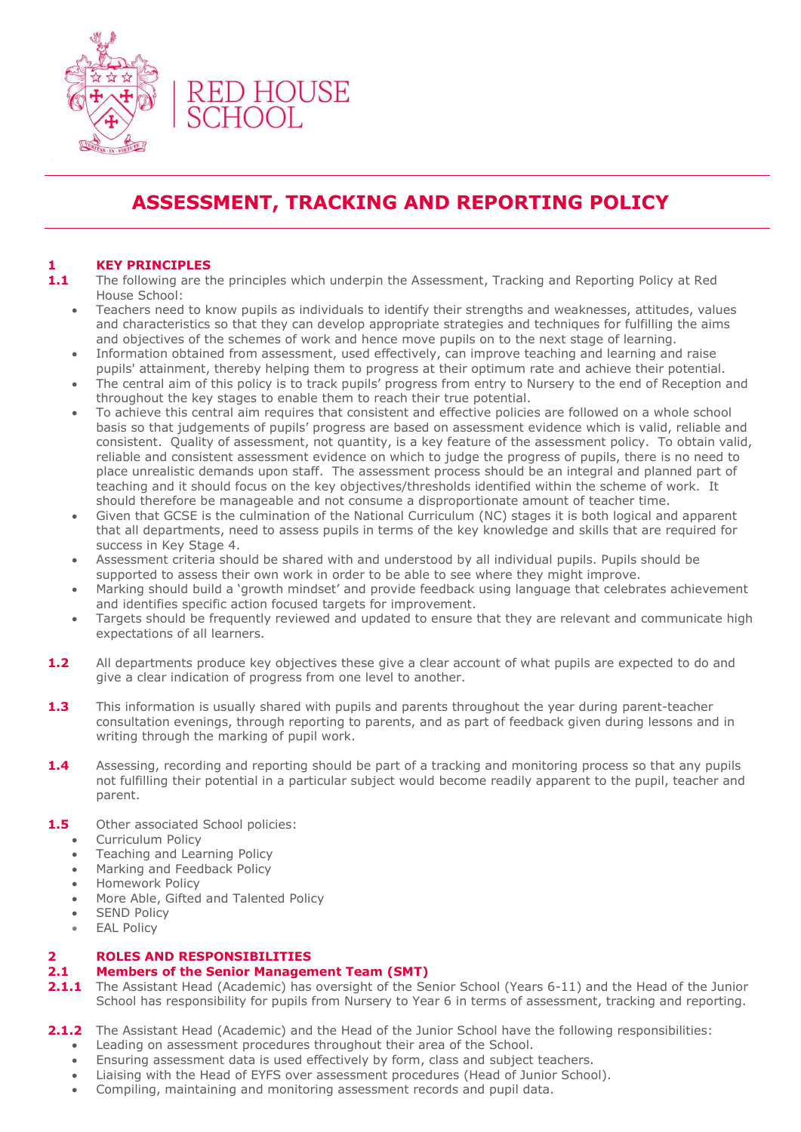

# **ASSESSMENT, TRACKING AND REPORTING POLICY**

# **1 KEY PRINCIPLES**

- **1.1** The following are the principles which underpin the Assessment, Tracking and Reporting Policy at Red House School:
	- Teachers need to know pupils as individuals to identify their strengths and weaknesses, attitudes, values and characteristics so that they can develop appropriate strategies and techniques for fulfilling the aims and objectives of the schemes of work and hence move pupils on to the next stage of learning.
	- Information obtained from assessment, used effectively, can improve teaching and learning and raise pupils' attainment, thereby helping them to progress at their optimum rate and achieve their potential.
	- The central aim of this policy is to track pupils' progress from entry to Nursery to the end of Reception and throughout the key stages to enable them to reach their true potential.
	- To achieve this central aim requires that consistent and effective policies are followed on a whole school basis so that judgements of pupils' progress are based on assessment evidence which is valid, reliable and consistent. Quality of assessment, not quantity, is a key feature of the assessment policy. To obtain valid, reliable and consistent assessment evidence on which to judge the progress of pupils, there is no need to place unrealistic demands upon staff. The assessment process should be an integral and planned part of teaching and it should focus on the key objectives/thresholds identified within the scheme of work. It should therefore be manageable and not consume a disproportionate amount of teacher time.
	- Given that GCSE is the culmination of the National Curriculum (NC) stages it is both logical and apparent that all departments, need to assess pupils in terms of the key knowledge and skills that are required for success in Key Stage 4.
	- Assessment criteria should be shared with and understood by all individual pupils. Pupils should be supported to assess their own work in order to be able to see where they might improve.
	- Marking should build a 'growth mindset' and provide feedback using language that celebrates achievement and identifies specific action focused targets for improvement.
	- Targets should be frequently reviewed and updated to ensure that they are relevant and communicate high expectations of all learners.
- **1.2** All departments produce key objectives these give a clear account of what pupils are expected to do and give a clear indication of progress from one level to another.
- **1.3** This information is usually shared with pupils and parents throughout the year during parent-teacher consultation evenings, through reporting to parents, and as part of feedback given during lessons and in writing through the marking of pupil work.
- **1.4** Assessing, recording and reporting should be part of a tracking and monitoring process so that any pupils not fulfilling their potential in a particular subject would become readily apparent to the pupil, teacher and parent.
- 1.5 Other associated School policies:
	- Curriculum Policy
	- Teaching and Learning Policy
	- Marking and Feedback Policy
	- Homework Policy
	- More Able, Gifted and Talented Policy
	- SEND Policy
	- EAL Policy

# **2 ROLES AND RESPONSIBILITIES**

# **2.1 Members of the Senior Management Team (SMT)**

- **2.1.1** The Assistant Head (Academic) has oversight of the Senior School (Years 6-11) and the Head of the Junior School has responsibility for pupils from Nursery to Year 6 in terms of assessment, tracking and reporting.
- **2.1.2** The Assistant Head (Academic) and the Head of the Junior School have the following responsibilities:
	- Leading on assessment procedures throughout their area of the School.
	- Ensuring assessment data is used effectively by form, class and subject teachers.
	- Liaising with the Head of EYFS over assessment procedures (Head of Junior School).
	- Compiling, maintaining and monitoring assessment records and pupil data.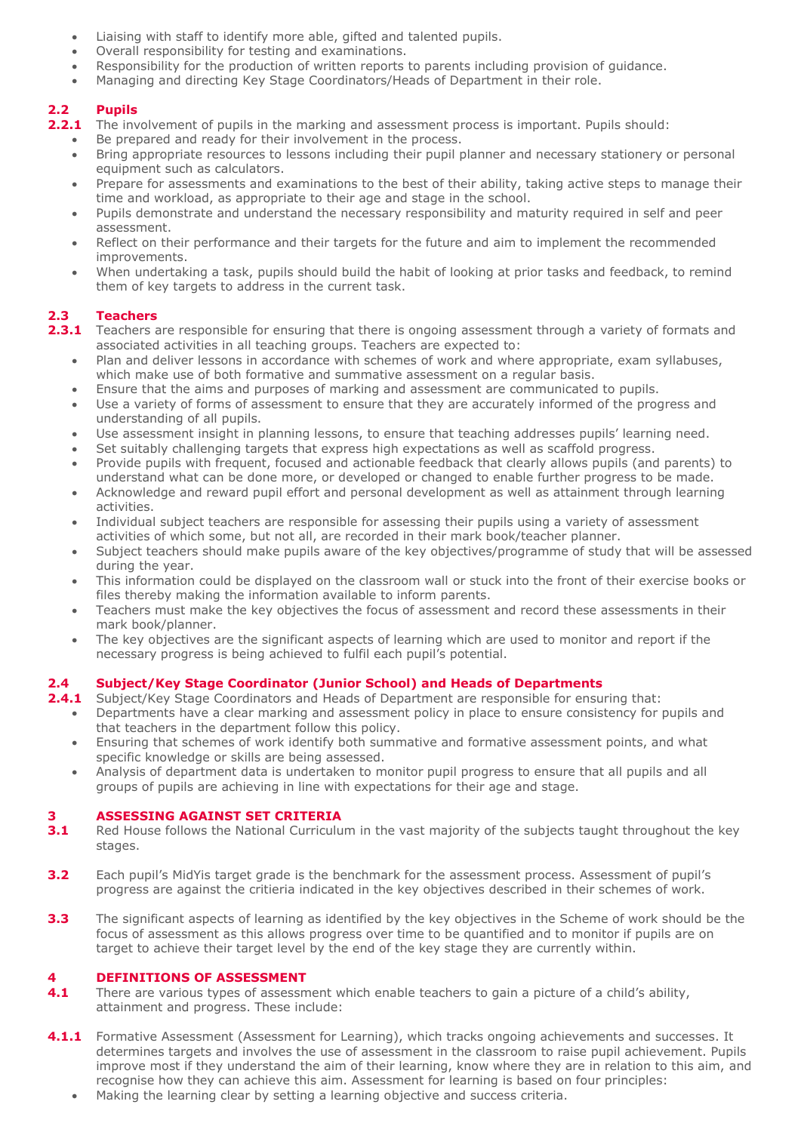- Liaising with staff to identify more able, gifted and talented pupils.
- Overall responsibility for testing and examinations.
- Responsibility for the production of written reports to parents including provision of guidance.
- Managing and directing Key Stage Coordinators/Heads of Department in their role.

# **2.2 Pupils**

- **2.2.1** The involvement of pupils in the marking and assessment process is important. Pupils should:
	- Be prepared and ready for their involvement in the process.
	- Bring appropriate resources to lessons including their pupil planner and necessary stationery or personal equipment such as calculators.
	- Prepare for assessments and examinations to the best of their ability, taking active steps to manage their time and workload, as appropriate to their age and stage in the school.
	- Pupils demonstrate and understand the necessary responsibility and maturity required in self and peer assessment.
	- Reflect on their performance and their targets for the future and aim to implement the recommended improvements.
	- When undertaking a task, pupils should build the habit of looking at prior tasks and feedback, to remind them of key targets to address in the current task.

# **2.3 Teachers**

- 2.3.1 Teachers are responsible for ensuring that there is ongoing assessment through a variety of formats and associated activities in all teaching groups. Teachers are expected to:
	- Plan and deliver lessons in accordance with schemes of work and where appropriate, exam syllabuses, which make use of both formative and summative assessment on a regular basis.
	- Ensure that the aims and purposes of marking and assessment are communicated to pupils.
	- Use a variety of forms of assessment to ensure that they are accurately informed of the progress and understanding of all pupils.
	- Use assessment insight in planning lessons, to ensure that teaching addresses pupils' learning need.
	- Set suitably challenging targets that express high expectations as well as scaffold progress.
	- Provide pupils with frequent, focused and actionable feedback that clearly allows pupils (and parents) to understand what can be done more, or developed or changed to enable further progress to be made.
	- Acknowledge and reward pupil effort and personal development as well as attainment through learning activities.
	- Individual subject teachers are responsible for assessing their pupils using a variety of assessment activities of which some, but not all, are recorded in their mark book/teacher planner.
	- Subject teachers should make pupils aware of the key objectives/programme of study that will be assessed during the year.
	- This information could be displayed on the classroom wall or stuck into the front of their exercise books or files thereby making the information available to inform parents.
	- Teachers must make the key objectives the focus of assessment and record these assessments in their mark book/planner.
	- The key objectives are the significant aspects of learning which are used to monitor and report if the necessary progress is being achieved to fulfil each pupil's potential.

# **2.4 Subject/Key Stage Coordinator (Junior School) and Heads of Departments**

- **2.4.1** Subject/Key Stage Coordinators and Heads of Department are responsible for ensuring that:
	- Departments have a clear marking and assessment policy in place to ensure consistency for pupils and that teachers in the department follow this policy.
	- Ensuring that schemes of work identify both summative and formative assessment points, and what specific knowledge or skills are being assessed.
	- Analysis of department data is undertaken to monitor pupil progress to ensure that all pupils and all groups of pupils are achieving in line with expectations for their age and stage.

# **3 ASSESSING AGAINST SET CRITERIA**

- **3.1** Red House follows the National Curriculum in the vast majority of the subjects taught throughout the key stages.
- **3.2** Each pupil's MidYis target grade is the benchmark for the assessment process. Assessment of pupil's progress are against the critieria indicated in the key objectives described in their schemes of work.
- **3.3** The significant aspects of learning as identified by the key objectives in the Scheme of work should be the focus of assessment as this allows progress over time to be quantified and to monitor if pupils are on target to achieve their target level by the end of the key stage they are currently within.

## **4 DEFINITIONS OF ASSESSMENT**

- **4.1** There are various types of assessment which enable teachers to gain a picture of a child's ability, attainment and progress. These include:
- 4.1.1 Formative Assessment (Assessment for Learning), which tracks ongoing achievements and successes. It determines targets and involves the use of assessment in the classroom to raise pupil achievement. Pupils improve most if they understand the aim of their learning, know where they are in relation to this aim, and recognise how they can achieve this aim. Assessment for learning is based on four principles:
	- Making the learning clear by setting a learning objective and success criteria.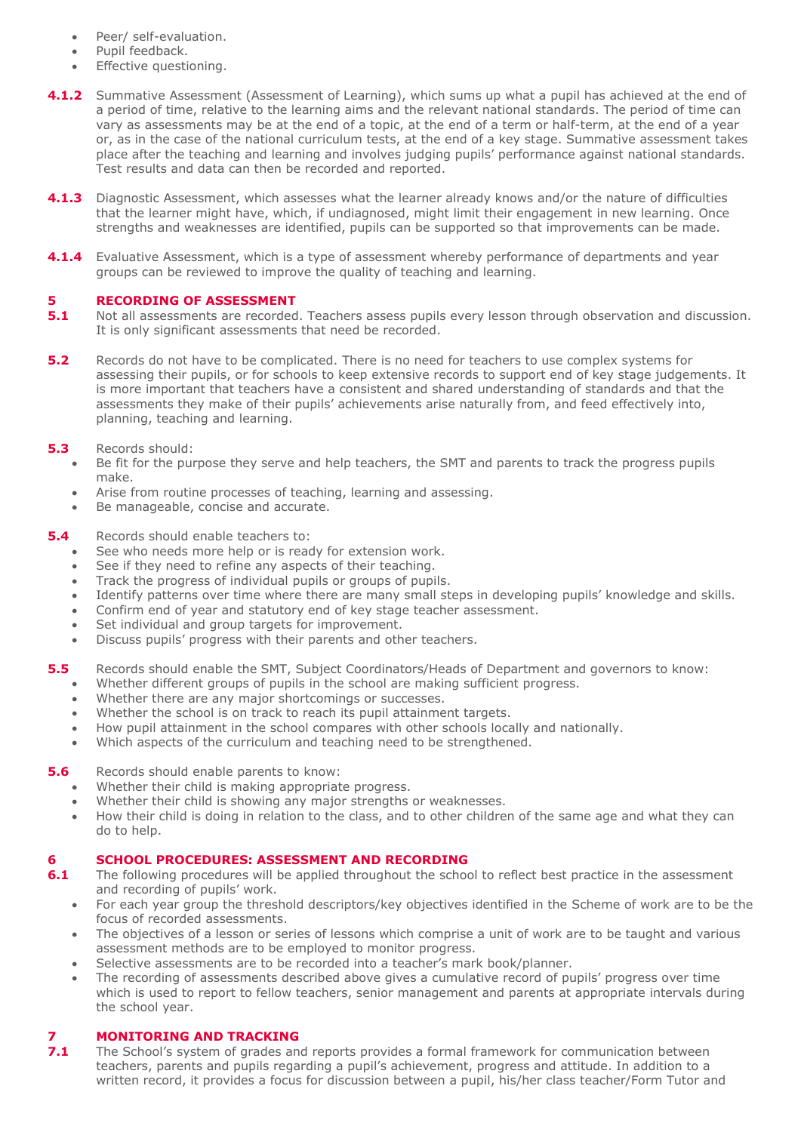- Peer/ self-evaluation.
- Pupil feedback.
- Effective questioning.
- **4.1.2** Summative Assessment (Assessment of Learning), which sums up what a pupil has achieved at the end of a period of time, relative to the learning aims and the relevant national standards. The period of time can vary as assessments may be at the end of a topic, at the end of a term or half-term, at the end of a year or, as in the case of the national curriculum tests, at the end of a key stage. Summative assessment takes place after the teaching and learning and involves judging pupils' performance against national standards. Test results and data can then be recorded and reported.
- **4.1.3** Diagnostic Assessment, which assesses what the learner already knows and/or the nature of difficulties that the learner might have, which, if undiagnosed, might limit their engagement in new learning. Once strengths and weaknesses are identified, pupils can be supported so that improvements can be made.
- **4.1.4** Evaluative Assessment, which is a type of assessment whereby performance of departments and year groups can be reviewed to improve the quality of teaching and learning.

## **5 RECORDING OF ASSESSMENT**

- **5.1** Not all assessments are recorded. Teachers assess pupils every lesson through observation and discussion. It is only significant assessments that need be recorded.
- **5.2** Records do not have to be complicated. There is no need for teachers to use complex systems for assessing their pupils, or for schools to keep extensive records to support end of key stage judgements. It is more important that teachers have a consistent and shared understanding of standards and that the assessments they make of their pupils' achievements arise naturally from, and feed effectively into, planning, teaching and learning.

## **5.3** Records should:

- Be fit for the purpose they serve and help teachers, the SMT and parents to track the progress pupils make.
- Arise from routine processes of teaching, learning and assessing.
- Be manageable, concise and accurate.

#### **5.4** Records should enable teachers to:

- See who needs more help or is ready for extension work.
- See if they need to refine any aspects of their teaching.
- Track the progress of individual pupils or groups of pupils.
- Identify patterns over time where there are many small steps in developing pupils' knowledge and skills.
- Confirm end of year and statutory end of key stage teacher assessment.
- Set individual and group targets for improvement.
- Discuss pupils' progress with their parents and other teachers.
- **5.5** Records should enable the SMT, Subject Coordinators/Heads of Department and governors to know:
	- Whether different groups of pupils in the school are making sufficient progress.
	- Whether there are any major shortcomings or successes.
	- Whether the school is on track to reach its pupil attainment targets.
	- How pupil attainment in the school compares with other schools locally and nationally.
	- Which aspects of the curriculum and teaching need to be strengthened.

#### **5.6** Records should enable parents to know:

- Whether their child is making appropriate progress.
- Whether their child is showing any major strengths or weaknesses.
- How their child is doing in relation to the class, and to other children of the same age and what they can do to help.

# **6 <b>SCHOOL PROCEDURES: ASSESSMENT AND RECORDING**<br>**6.1** The following procedures will be applied throughout the school

- **6.1** The following procedures will be applied throughout the school to reflect best practice in the assessment and recording of pupils' work.
	- For each year group the threshold descriptors/key objectives identified in the Scheme of work are to be the focus of recorded assessments.
	- The objectives of a lesson or series of lessons which comprise a unit of work are to be taught and various assessment methods are to be employed to monitor progress.
	- Selective assessments are to be recorded into a teacher's mark book/planner.
	- The recording of assessments described above gives a cumulative record of pupils' progress over time which is used to report to fellow teachers, senior management and parents at appropriate intervals during the school year.

# **7 <b>MONITORING AND TRACKING**<br>**7.1** The School's system of grades and

**7.1** The School's system of grades and reports provides a formal framework for communication between teachers, parents and pupils regarding a pupil's achievement, progress and attitude. In addition to a written record, it provides a focus for discussion between a pupil, his/her class teacher/Form Tutor and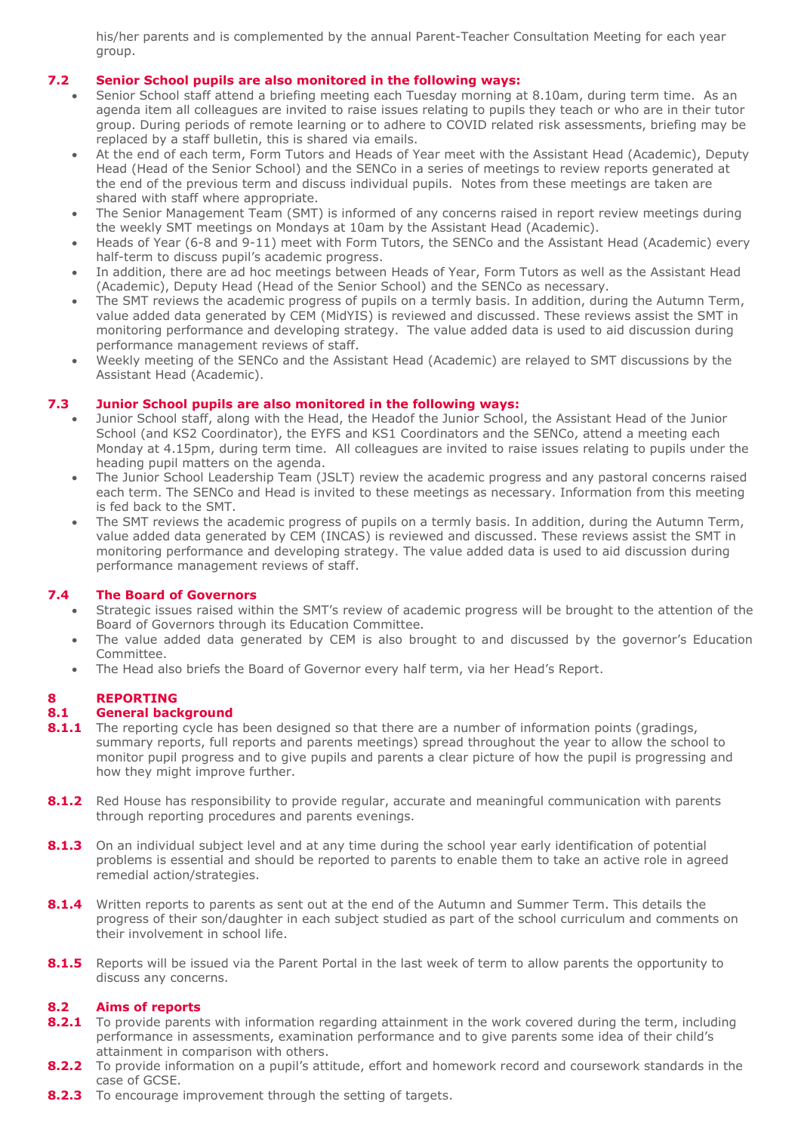his/her parents and is complemented by the annual Parent-Teacher Consultation Meeting for each year group.

# **7.2 Senior School pupils are also monitored in the following ways:**

- Senior School staff attend a briefing meeting each Tuesday morning at 8.10am, during term time. As an agenda item all colleagues are invited to raise issues relating to pupils they teach or who are in their tutor group. During periods of remote learning or to adhere to COVID related risk assessments, briefing may be replaced by a staff bulletin, this is shared via emails.
- At the end of each term, Form Tutors and Heads of Year meet with the Assistant Head (Academic), Deputy Head (Head of the Senior School) and the SENCo in a series of meetings to review reports generated at the end of the previous term and discuss individual pupils. Notes from these meetings are taken are shared with staff where appropriate.
- The Senior Management Team (SMT) is informed of any concerns raised in report review meetings during the weekly SMT meetings on Mondays at 10am by the Assistant Head (Academic).
- Heads of Year (6-8 and 9-11) meet with Form Tutors, the SENCo and the Assistant Head (Academic) every half-term to discuss pupil's academic progress.
- In addition, there are ad hoc meetings between Heads of Year, Form Tutors as well as the Assistant Head (Academic), Deputy Head (Head of the Senior School) and the SENCo as necessary.
- The SMT reviews the academic progress of pupils on a termly basis. In addition, during the Autumn Term, value added data generated by CEM (MidYIS) is reviewed and discussed. These reviews assist the SMT in monitoring performance and developing strategy. The value added data is used to aid discussion during performance management reviews of staff.
- Weekly meeting of the SENCo and the Assistant Head (Academic) are relayed to SMT discussions by the Assistant Head (Academic).

# **7.3 Junior School pupils are also monitored in the following ways:**

- Junior School staff, along with the Head, the Headof the Junior School, the Assistant Head of the Junior School (and KS2 Coordinator), the EYFS and KS1 Coordinators and the SENCo, attend a meeting each Monday at 4.15pm, during term time. All colleagues are invited to raise issues relating to pupils under the heading pupil matters on the agenda.
- The Junior School Leadership Team (JSLT) review the academic progress and any pastoral concerns raised each term. The SENCo and Head is invited to these meetings as necessary. Information from this meeting is fed back to the SMT.
- The SMT reviews the academic progress of pupils on a termly basis. In addition, during the Autumn Term, value added data generated by CEM (INCAS) is reviewed and discussed. These reviews assist the SMT in monitoring performance and developing strategy. The value added data is used to aid discussion during performance management reviews of staff.

# **7.4 The Board of Governors**

- Strategic issues raised within the SMT's review of academic progress will be brought to the attention of the Board of Governors through its Education Committee.
- The value added data generated by CEM is also brought to and discussed by the governor's Education Committee.
- The Head also briefs the Board of Governor every half term, via her Head's Report.

# **8 REPORTING**

# **8.1 General background**

- **8.1.1** The reporting cycle has been designed so that there are a number of information points (gradings, summary reports, full reports and parents meetings) spread throughout the year to allow the school to monitor pupil progress and to give pupils and parents a clear picture of how the pupil is progressing and how they might improve further.
- 8.1.2 Red House has responsibility to provide regular, accurate and meaningful communication with parents through reporting procedures and parents evenings.
- **8.1.3** On an individual subject level and at any time during the school year early identification of potential problems is essential and should be reported to parents to enable them to take an active role in agreed remedial action/strategies.
- 8.1.4 Written reports to parents as sent out at the end of the Autumn and Summer Term. This details the progress of their son/daughter in each subject studied as part of the school curriculum and comments on their involvement in school life.
- 8.1.5 Reports will be issued via the Parent Portal in the last week of term to allow parents the opportunity to discuss any concerns.

## **8.2 Aims of reports**

- **8.2.1** To provide parents with information regarding attainment in the work covered during the term, including performance in assessments, examination performance and to give parents some idea of their child's attainment in comparison with others.
- 8.2.2 To provide information on a pupil's attitude, effort and homework record and coursework standards in the case of GCSE.
- **8.2.3** To encourage improvement through the setting of targets.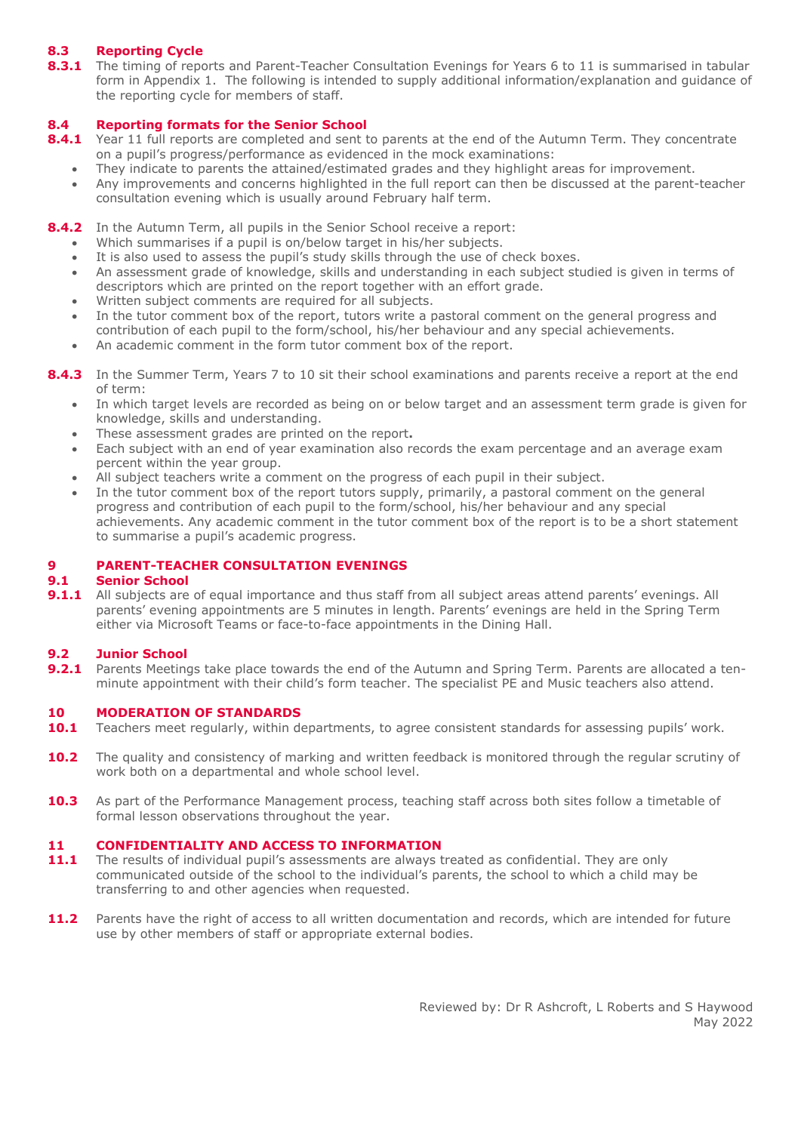# **8.3 Reporting Cycle**

8.3.1 The timing of reports and Parent-Teacher Consultation Evenings for Years 6 to 11 is summarised in tabular form in Appendix 1. The following is intended to supply additional information/explanation and guidance of the reporting cycle for members of staff.

## **8.4 Reporting formats for the Senior School**

- 8.4.1 Year 11 full reports are completed and sent to parents at the end of the Autumn Term. They concentrate on a pupil's progress/performance as evidenced in the mock examinations:
	- They indicate to parents the attained/estimated grades and they highlight areas for improvement.
	- Any improvements and concerns highlighted in the full report can then be discussed at the parent-teacher consultation evening which is usually around February half term.

## **8.4.2** In the Autumn Term, all pupils in the Senior School receive a report:

- Which summarises if a pupil is on/below target in his/her subjects.
- It is also used to assess the pupil's study skills through the use of check boxes.
- An assessment grade of knowledge, skills and understanding in each subject studied is given in terms of descriptors which are printed on the report together with an effort grade.
- Written subject comments are required for all subjects.
- In the tutor comment box of the report, tutors write a pastoral comment on the general progress and contribution of each pupil to the form/school, his/her behaviour and any special achievements.
- An academic comment in the form tutor comment box of the report.

**8.4.3** In the Summer Term, Years 7 to 10 sit their school examinations and parents receive a report at the end of term:

- In which target levels are recorded as being on or below target and an assessment term grade is given for knowledge, skills and understanding.
- These assessment grades are printed on the report**.**
- Each subject with an end of year examination also records the exam percentage and an average exam percent within the year group.
- All subject teachers write a comment on the progress of each pupil in their subject.
- In the tutor comment box of the report tutors supply, primarily, a pastoral comment on the general progress and contribution of each pupil to the form/school, his/her behaviour and any special achievements. Any academic comment in the tutor comment box of the report is to be a short statement to summarise a pupil's academic progress.

## **9 PARENT-TEACHER CONSULTATION EVENINGS**

## **9.1 Senior School**

9.1.1 All subjects are of equal importance and thus staff from all subject areas attend parents' evenings. All parents' evening appointments are 5 minutes in length. Parents' evenings are held in the Spring Term either via Microsoft Teams or face-to-face appointments in the Dining Hall.

## **9.2 Junior School**

9.2.1 Parents Meetings take place towards the end of the Autumn and Spring Term. Parents are allocated a tenminute appointment with their child's form teacher. The specialist PE and Music teachers also attend.

#### **10 MODERATION OF STANDARDS**

- **10.1** Teachers meet regularly, within departments, to agree consistent standards for assessing pupils' work.
- 10.2 The quality and consistency of marking and written feedback is monitored through the regular scrutiny of work both on a departmental and whole school level.
- 10.3 As part of the Performance Management process, teaching staff across both sites follow a timetable of formal lesson observations throughout the year.

#### **11 CONFIDENTIALITY AND ACCESS TO INFORMATION**

- **11.1** The results of individual pupil's assessments are always treated as confidential. They are only communicated outside of the school to the individual's parents, the school to which a child may be transferring to and other agencies when requested.
- 11.2 Parents have the right of access to all written documentation and records, which are intended for future use by other members of staff or appropriate external bodies.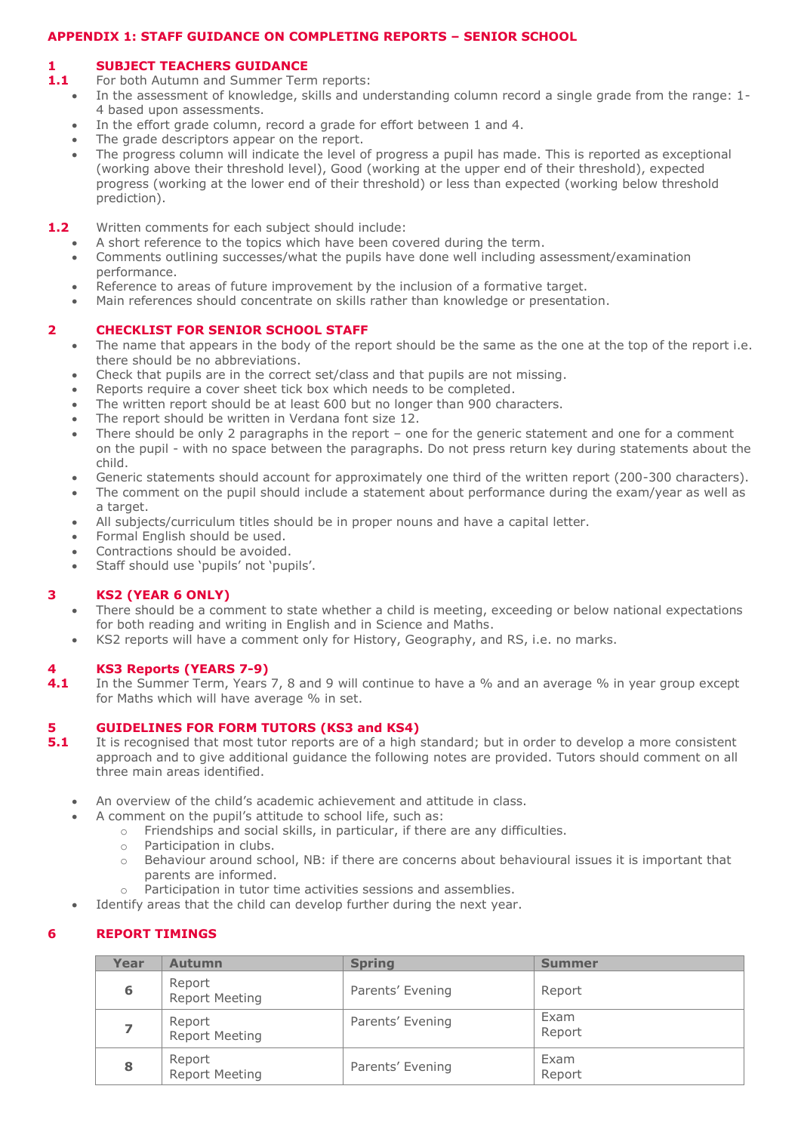# **APPENDIX 1: STAFF GUIDANCE ON COMPLETING REPORTS – SENIOR SCHOOL**

## **1 SUBJECT TEACHERS GUIDANCE**

- **1.1** For both Autumn and Summer Term reports:
	- In the assessment of knowledge, skills and understanding column record a single grade from the range: 1- 4 based upon assessments.
	- In the effort grade column, record a grade for effort between 1 and 4.
	- The grade descriptors appear on the report.
	- The progress column will indicate the level of progress a pupil has made. This is reported as exceptional (working above their threshold level), Good (working at the upper end of their threshold), expected progress (working at the lower end of their threshold) or less than expected (working below threshold prediction).
- **1.2** Written comments for each subject should include:
	- A short reference to the topics which have been covered during the term.
	- Comments outlining successes/what the pupils have done well including assessment/examination performance.
	- Reference to areas of future improvement by the inclusion of a formative target.
	- Main references should concentrate on skills rather than knowledge or presentation.

## **2 CHECKLIST FOR SENIOR SCHOOL STAFF**

- The name that appears in the body of the report should be the same as the one at the top of the report i.e. there should be no abbreviations.
- Check that pupils are in the correct set/class and that pupils are not missing.
- Reports require a cover sheet tick box which needs to be completed.
- The written report should be at least 600 but no longer than 900 characters.
- The report should be written in Verdana font size 12.
- There should be only 2 paragraphs in the report one for the generic statement and one for a comment on the pupil - with no space between the paragraphs. Do not press return key during statements about the child.
- Generic statements should account for approximately one third of the written report (200-300 characters).
- The comment on the pupil should include a statement about performance during the exam/year as well as a target.
- All subjects/curriculum titles should be in proper nouns and have a capital letter.
- Formal English should be used.
- Contractions should be avoided.
- Staff should use 'pupils' not 'pupils'.

## **3 KS2 (YEAR 6 ONLY)**

- There should be a comment to state whether a child is meeting, exceeding or below national expectations for both reading and writing in English and in Science and Maths.
- KS2 reports will have a comment only for History, Geography, and RS, i.e. no marks.

## **4 KS3 Reports (YEARS 7-9)**

**4.1** In the Summer Term, Years 7, 8 and 9 will continue to have a % and an average % in year group except for Maths which will have average % in set.

## **5 GUIDELINES FOR FORM TUTORS (KS3 and KS4)**

- **5.1** It is recognised that most tutor reports are of a high standard; but in order to develop a more consistent approach and to give additional guidance the following notes are provided. Tutors should comment on all three main areas identified.
	- An overview of the child's academic achievement and attitude in class.
		- A comment on the pupil's attitude to school life, such as:
			- o Friendships and social skills, in particular, if there are any difficulties.
			- o Participation in clubs.
			- o Behaviour around school, NB: if there are concerns about behavioural issues it is important that parents are informed.
			- o Participation in tutor time activities sessions and assemblies.
	- Identify areas that the child can develop further during the next year.

# **6 REPORT TIMINGS**

| Year | <b>Autumn</b>                   | <b>Spring</b>    | <b>Summer</b>  |
|------|---------------------------------|------------------|----------------|
| 6    | Report<br><b>Report Meeting</b> | Parents' Evening | Report         |
|      | Report<br><b>Report Meeting</b> | Parents' Evening | Exam<br>Report |
| 8    | Report<br>Report Meeting        | Parents' Evening | Exam<br>Report |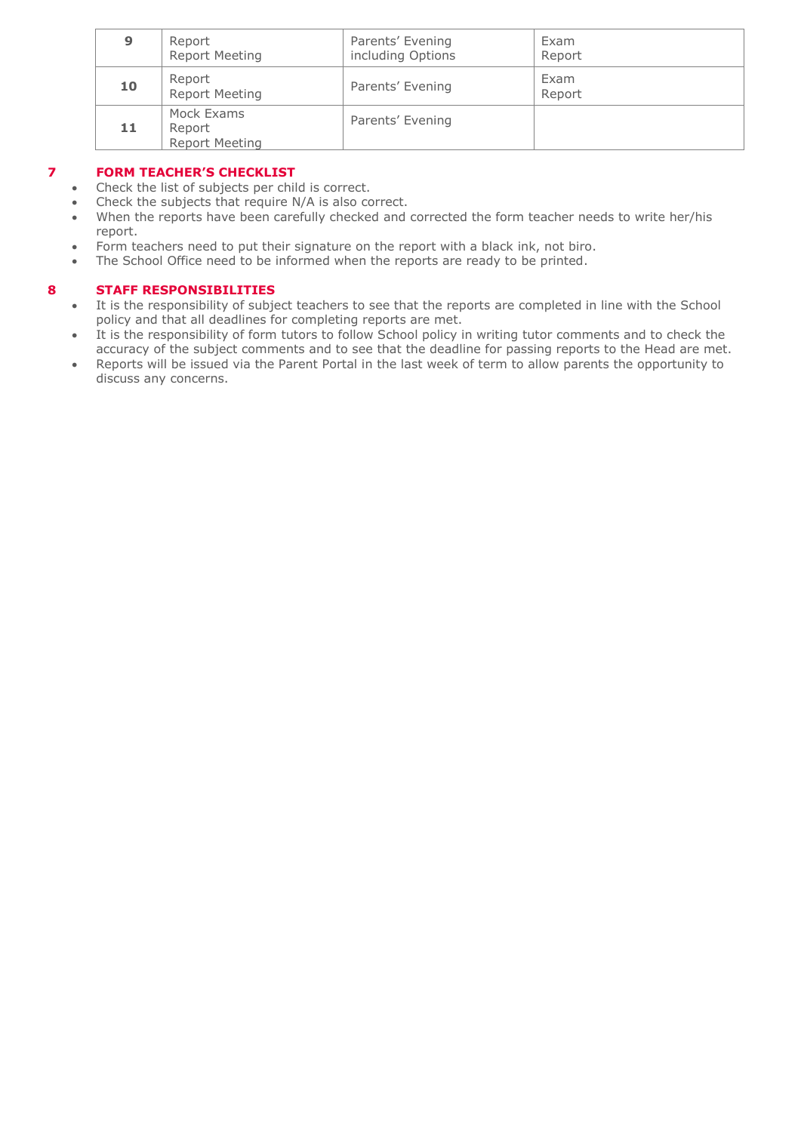| 9  | Report<br><b>Report Meeting</b>               | Parents' Evening<br>including Options | Exam<br>Report |
|----|-----------------------------------------------|---------------------------------------|----------------|
| 10 | Report<br><b>Report Meeting</b>               | Parents' Evening                      | Exam<br>Report |
| 11 | Mock Exams<br>Report<br><b>Report Meeting</b> | Parents' Evening                      |                |

## **7 FORM TEACHER'S CHECKLIST**

- Check the list of subjects per child is correct.
- Check the subjects that require N/A is also correct.
- When the reports have been carefully checked and corrected the form teacher needs to write her/his report.
- Form teachers need to put their signature on the report with a black ink, not biro.
- The School Office need to be informed when the reports are ready to be printed.

## **8 STAFF RESPONSIBILITIES**

- It is the responsibility of subject teachers to see that the reports are completed in line with the School policy and that all deadlines for completing reports are met.
- It is the responsibility of form tutors to follow School policy in writing tutor comments and to check the accuracy of the subject comments and to see that the deadline for passing reports to the Head are met.
- Reports will be issued via the Parent Portal in the last week of term to allow parents the opportunity to discuss any concerns.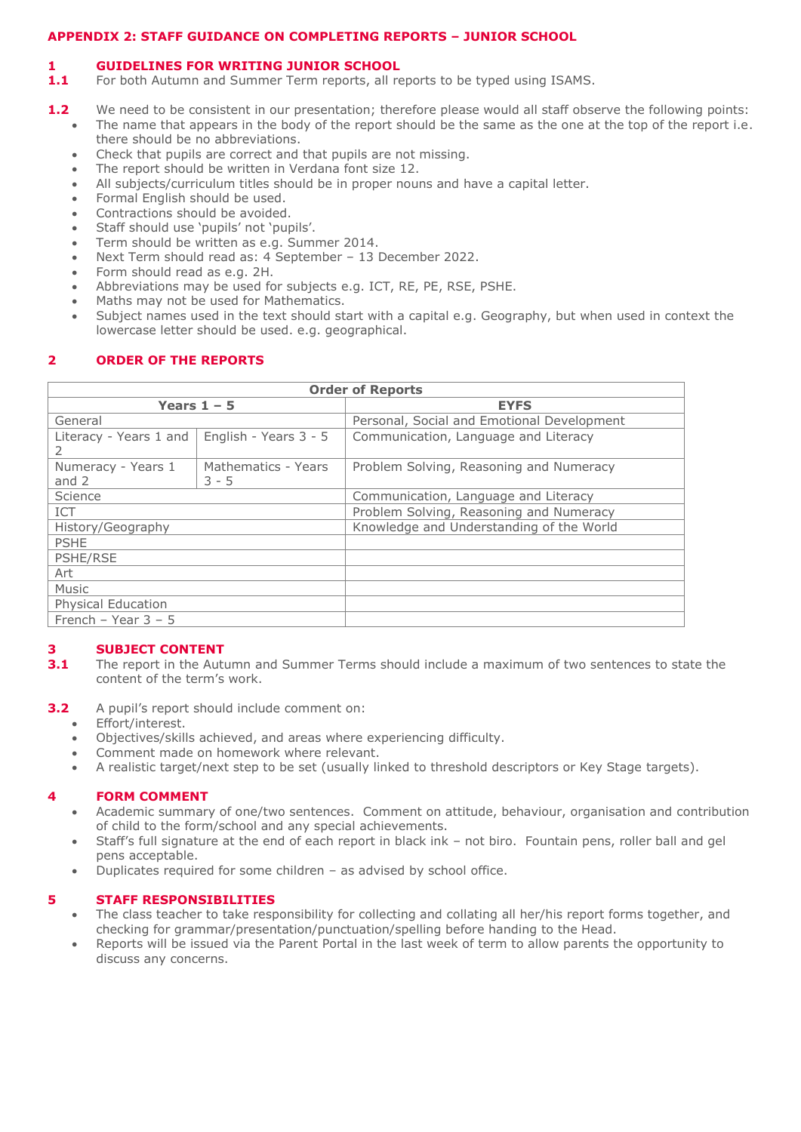## **APPENDIX 2: STAFF GUIDANCE ON COMPLETING REPORTS – JUNIOR SCHOOL**

## **1 GUIDELINES FOR WRITING JUNIOR SCHOOL**

- **1.1** For both Autumn and Summer Term reports, all reports to be typed using ISAMS.
- **1.2** We need to be consistent in our presentation; therefore please would all staff observe the following points:
	- The name that appears in the body of the report should be the same as the one at the top of the report i.e. there should be no abbreviations.
	- Check that pupils are correct and that pupils are not missing.
	- The report should be written in Verdana font size 12.
	- All subjects/curriculum titles should be in proper nouns and have a capital letter.
	- Formal English should be used.
	- Contractions should be avoided.
	- Staff should use 'pupils' not 'pupils'.
	- Term should be written as e.g. Summer 2014.
	- Next Term should read as: 4 September 13 December 2022.
	- Form should read as e.g. 2H.
	- Abbreviations may be used for subjects e.g. ICT, RE, PE, RSE, PSHE.
	- Maths may not be used for Mathematics.
	- Subject names used in the text should start with a capital e.g. Geography, but when used in context the lowercase letter should be used. e.g. geographical.

# **2 ORDER OF THE REPORTS**

| <b>Order of Reports</b>       |                                |                                            |  |
|-------------------------------|--------------------------------|--------------------------------------------|--|
|                               | Years $1 - 5$                  | <b>EYFS</b>                                |  |
| General                       |                                | Personal, Social and Emotional Development |  |
| Literacy - Years 1 and        | English - Years 3 - 5          | Communication, Language and Literacy       |  |
| Numeracy - Years 1<br>and $2$ | Mathematics - Years<br>$3 - 5$ | Problem Solving, Reasoning and Numeracy    |  |
| Science                       |                                | Communication, Language and Literacy       |  |
| <b>ICT</b>                    |                                | Problem Solving, Reasoning and Numeracy    |  |
| History/Geography             |                                | Knowledge and Understanding of the World   |  |
| <b>PSHE</b>                   |                                |                                            |  |
| PSHE/RSE                      |                                |                                            |  |
| Art                           |                                |                                            |  |
| Music                         |                                |                                            |  |
| <b>Physical Education</b>     |                                |                                            |  |
| French - Year $3 - 5$         |                                |                                            |  |

# **3 SUBJECT CONTENT**

- **3.1** The report in the Autumn and Summer Terms should include a maximum of two sentences to state the content of the term's work.
- **3.2** A pupil's report should include comment on:
	- Effort/interest.
		- Objectives/skills achieved, and areas where experiencing difficulty.
	- Comment made on homework where relevant.
	- A realistic target/next step to be set (usually linked to threshold descriptors or Key Stage targets).

# **4 FORM COMMENT**

- Academic summary of one/two sentences. Comment on attitude, behaviour, organisation and contribution of child to the form/school and any special achievements.
- Staff's full signature at the end of each report in black ink not biro. Fountain pens, roller ball and gel pens acceptable.
- Duplicates required for some children as advised by school office.

# **5 STAFF RESPONSIBILITIES**

- The class teacher to take responsibility for collecting and collating all her/his report forms together, and checking for grammar/presentation/punctuation/spelling before handing to the Head.
- Reports will be issued via the Parent Portal in the last week of term to allow parents the opportunity to discuss any concerns.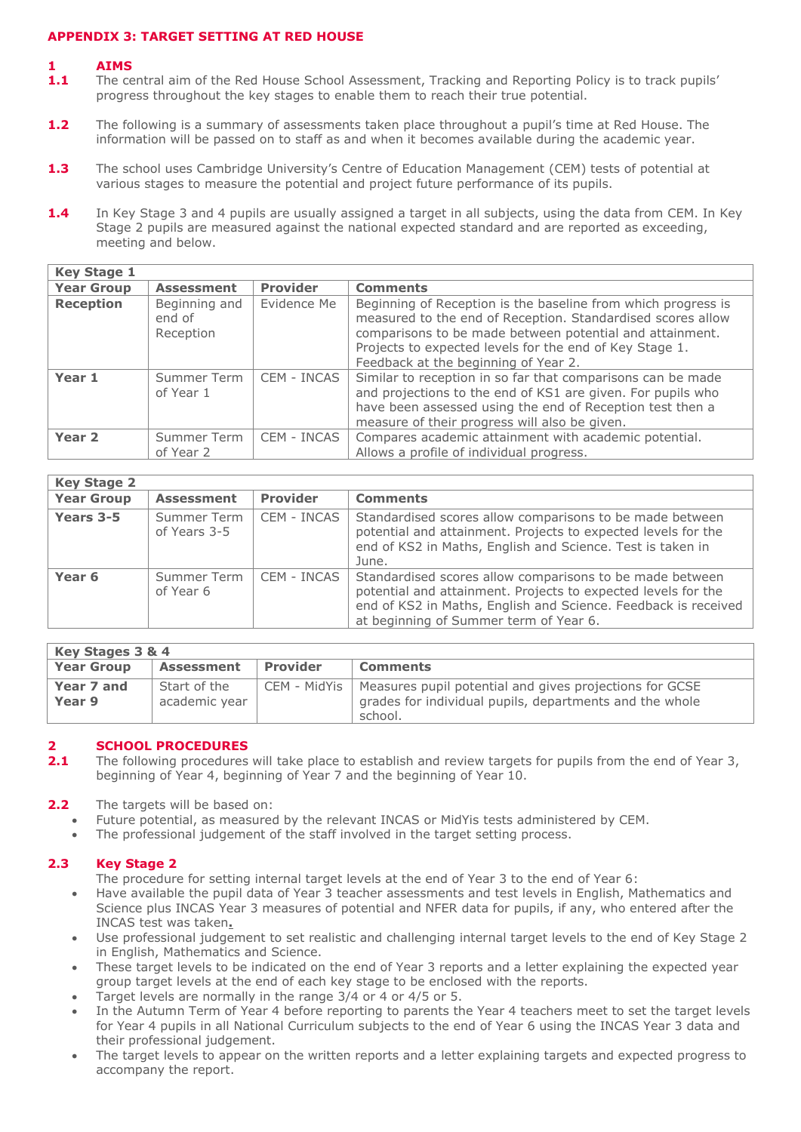## **APPENDIX 3: TARGET SETTING AT RED HOUSE**

## **1 AIMS**

- **1.1** The central aim of the Red House School Assessment, Tracking and Reporting Policy is to track pupils' progress throughout the key stages to enable them to reach their true potential.
- **1.2** The following is a summary of assessments taken place throughout a pupil's time at Red House. The information will be passed on to staff as and when it becomes available during the academic year.
- 1.3 The school uses Cambridge University's Centre of Education Management (CEM) tests of potential at various stages to measure the potential and project future performance of its pupils.
- 1.4 In Key Stage 3 and 4 pupils are usually assigned a target in all subjects, using the data from CEM. In Key Stage 2 pupils are measured against the national expected standard and are reported as exceeding, meeting and below.

| <b>Key Stage 1</b> |                                      |                 |                                                                                                                                                                                                                                                                                             |
|--------------------|--------------------------------------|-----------------|---------------------------------------------------------------------------------------------------------------------------------------------------------------------------------------------------------------------------------------------------------------------------------------------|
| <b>Year Group</b>  | <b>Assessment</b>                    | <b>Provider</b> | <b>Comments</b>                                                                                                                                                                                                                                                                             |
| <b>Reception</b>   | Beginning and<br>end of<br>Reception | Evidence Me     | Beginning of Reception is the baseline from which progress is<br>measured to the end of Reception. Standardised scores allow<br>comparisons to be made between potential and attainment.<br>Projects to expected levels for the end of Key Stage 1.<br>Feedback at the beginning of Year 2. |
| Year 1             | Summer Term<br>of Year 1             | CEM - INCAS     | Similar to reception in so far that comparisons can be made<br>and projections to the end of KS1 are given. For pupils who<br>have been assessed using the end of Reception test then a<br>measure of their progress will also be given.                                                    |
| Year <sub>2</sub>  | Summer Term<br>of Year 2             | CEM - INCAS     | Compares academic attainment with academic potential.<br>Allows a profile of individual progress.                                                                                                                                                                                           |

| <b>Key Stage 2</b> |                             |                 |                                                                                                                                                                                                                                       |
|--------------------|-----------------------------|-----------------|---------------------------------------------------------------------------------------------------------------------------------------------------------------------------------------------------------------------------------------|
| <b>Year Group</b>  | <b>Assessment</b>           | <b>Provider</b> | <b>Comments</b>                                                                                                                                                                                                                       |
| Years 3-5          | Summer Term<br>of Years 3-5 | CEM - INCAS     | Standardised scores allow comparisons to be made between<br>potential and attainment. Projects to expected levels for the<br>end of KS2 in Maths, English and Science. Test is taken in<br>June.                                      |
| Year <sub>6</sub>  | Summer Term<br>of Year 6    | CEM - INCAS     | Standardised scores allow comparisons to be made between<br>potential and attainment. Projects to expected levels for the<br>end of KS2 in Maths, English and Science. Feedback is received<br>at beginning of Summer term of Year 6. |

| Key Stages 3 & 4     |                               |                |                                                                                                                               |
|----------------------|-------------------------------|----------------|-------------------------------------------------------------------------------------------------------------------------------|
| <b>Year Group</b>    | <b>Assessment</b>             | l Provider     | <b>Comments</b>                                                                                                               |
| Year 7 and<br>Year 9 | Start of the<br>academic year | CEM - MidYis I | Measures pupil potential and gives projections for GCSE<br>grades for individual pupils, departments and the whole<br>school. |

# **2 <b>2 SCHOOL PROCEDURES**<br>**2.1** The following procedures

- **2.1** The following procedures will take place to establish and review targets for pupils from the end of Year 3, beginning of Year 4, beginning of Year 7 and the beginning of Year 10.
- **2.2** The targets will be based on:
	- Future potential, as measured by the relevant INCAS or MidYis tests administered by CEM.
	- The professional judgement of the staff involved in the target setting process.

# **2.3 Key Stage 2**

The procedure for setting internal target levels at the end of Year 3 to the end of Year 6:

- Have available the pupil data of Year 3 teacher assessments and test levels in English, Mathematics and Science plus INCAS Year 3 measures of potential and NFER data for pupils, if any, who entered after the INCAS test was taken**.**
- Use professional judgement to set realistic and challenging internal target levels to the end of Key Stage 2 in English, Mathematics and Science.
- These target levels to be indicated on the end of Year 3 reports and a letter explaining the expected year group target levels at the end of each key stage to be enclosed with the reports.
- Target levels are normally in the range 3/4 or 4 or 4/5 or 5.
- In the Autumn Term of Year 4 before reporting to parents the Year 4 teachers meet to set the target levels for Year 4 pupils in all National Curriculum subjects to the end of Year 6 using the INCAS Year 3 data and their professional judgement.
- The target levels to appear on the written reports and a letter explaining targets and expected progress to accompany the report.